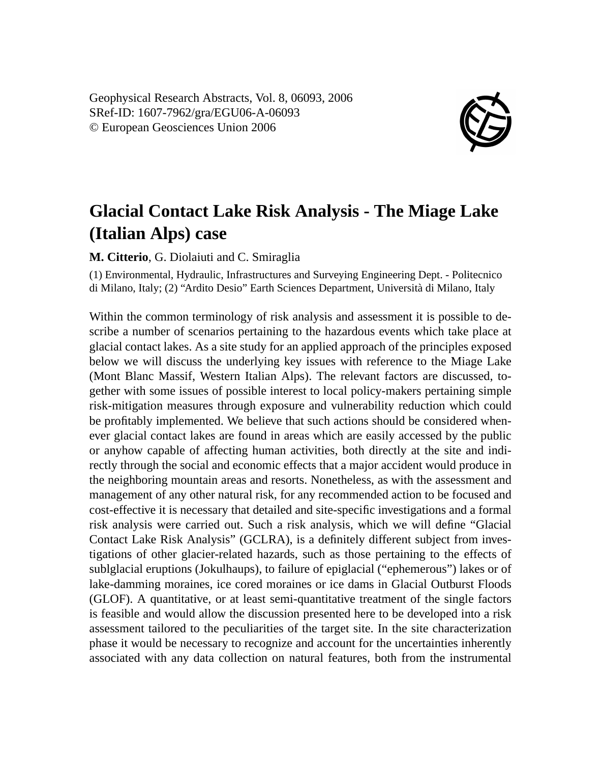Geophysical Research Abstracts, Vol. 8, 06093, 2006 SRef-ID: 1607-7962/gra/EGU06-A-06093 © European Geosciences Union 2006



## **Glacial Contact Lake Risk Analysis - The Miage Lake (Italian Alps) case**

**M. Citterio**, G. Diolaiuti and C. Smiraglia

(1) Environmental, Hydraulic, Infrastructures and Surveying Engineering Dept. - Politecnico di Milano, Italy; (2) "Ardito Desio" Earth Sciences Department, Università di Milano, Italy

Within the common terminology of risk analysis and assessment it is possible to describe a number of scenarios pertaining to the hazardous events which take place at glacial contact lakes. As a site study for an applied approach of the principles exposed below we will discuss the underlying key issues with reference to the Miage Lake (Mont Blanc Massif, Western Italian Alps). The relevant factors are discussed, together with some issues of possible interest to local policy-makers pertaining simple risk-mitigation measures through exposure and vulnerability reduction which could be profitably implemented. We believe that such actions should be considered whenever glacial contact lakes are found in areas which are easily accessed by the public or anyhow capable of affecting human activities, both directly at the site and indirectly through the social and economic effects that a major accident would produce in the neighboring mountain areas and resorts. Nonetheless, as with the assessment and management of any other natural risk, for any recommended action to be focused and cost-effective it is necessary that detailed and site-specific investigations and a formal risk analysis were carried out. Such a risk analysis, which we will define "Glacial Contact Lake Risk Analysis" (GCLRA), is a definitely different subject from investigations of other glacier-related hazards, such as those pertaining to the effects of sublglacial eruptions (Jokulhaups), to failure of epiglacial ("ephemerous") lakes or of lake-damming moraines, ice cored moraines or ice dams in Glacial Outburst Floods (GLOF). A quantitative, or at least semi-quantitative treatment of the single factors is feasible and would allow the discussion presented here to be developed into a risk assessment tailored to the peculiarities of the target site. In the site characterization phase it would be necessary to recognize and account for the uncertainties inherently associated with any data collection on natural features, both from the instrumental